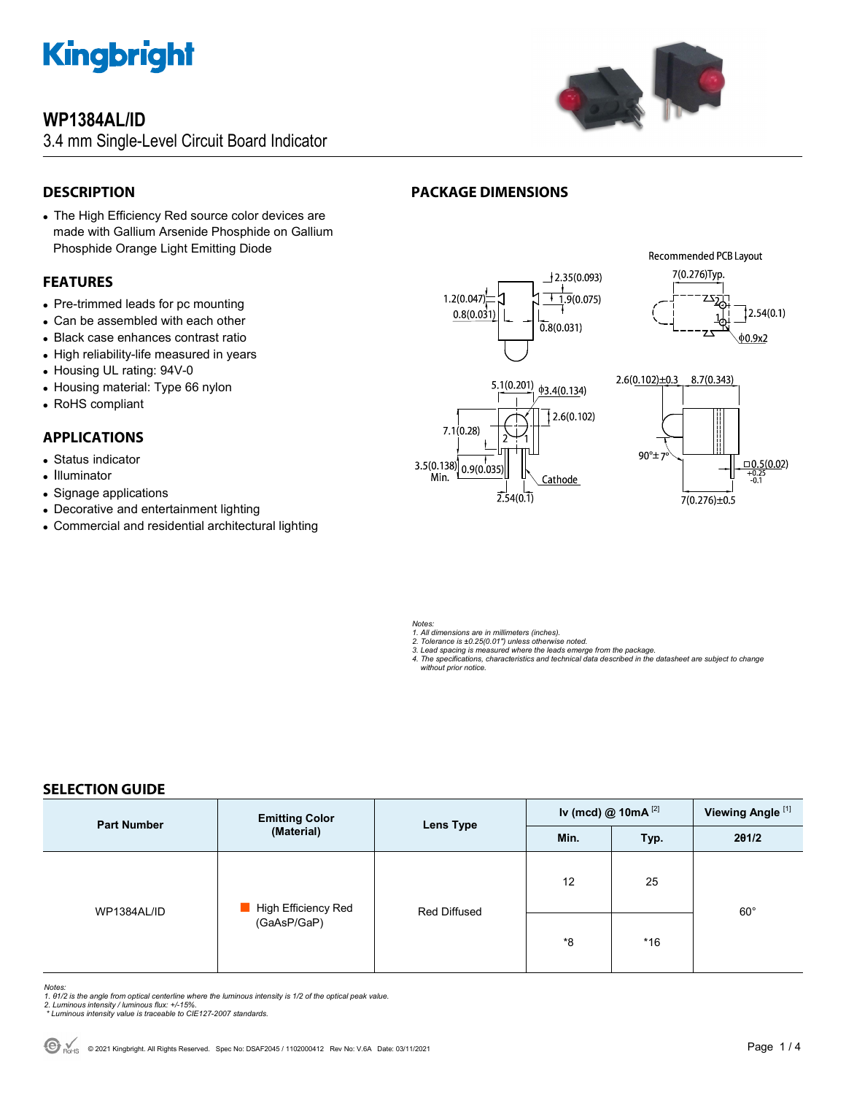

## **WP1384AL/ID**

**DESCRIPTION** 

3.4 mm Single-Level Circuit Board Indicator



## **PACKAGE DIMENSIONS**

 The High Efficiency Red source color devices are made with Gallium Arsenide Phosphide on Gallium Phosphide Orange Light Emitting Diode

### **FEATURES**

- Pre-trimmed leads for pc mounting
- Can be assembled with each other
- Black case enhances contrast ratio
- High reliability-life measured in years
- Housing UL rating: 94V-0
- Housing material: Type 66 nylon
- RoHS compliant

### **APPLICATIONS**

- Status indicator
- Illuminator
- Signage applications
- Decorative and entertainment lighting
- Commercial and residential architectural lighting



**Recommended PCB Layout** 7(0.276)Typ.  $2.54(0.1)$  $\phi$ 0.9x2





*Notes:* 

- 
- 
- 1. All dimensions are in millimeters (inches).<br>2. Tolerance is ±0.25(0.01") unless otherwise noted.<br>3. Lead spacing is measured where the leads emerge from the package.<br>4. The specifications, characteristics and technical  *without prior notice.*

### **SELECTION GUIDE**

| <b>Part Number</b> | <b>Emitting Color</b><br>(Material) | Lens Type    | Iv (mcd) @ $10mA$ <sup>[2]</sup> |       | Viewing Angle <sup>[1]</sup> |
|--------------------|-------------------------------------|--------------|----------------------------------|-------|------------------------------|
|                    |                                     |              | Min.                             | Typ.  | 201/2                        |
| WP1384AL/ID        | High Efficiency Red<br>(GaAsP/GaP)  | Red Diffused | 12                               | 25    | $60^{\circ}$                 |
|                    |                                     |              | *8                               | $*16$ |                              |

- Notes:<br>1. 61/2 is the angle from optical centerline where the luminous intensity is 1/2 of the optical peak value.<br>2. Luminous intensity / luminous flux: +/-15%.<br>\* Luminous intensity value is traceable to CIE127-2007 stand
- 
-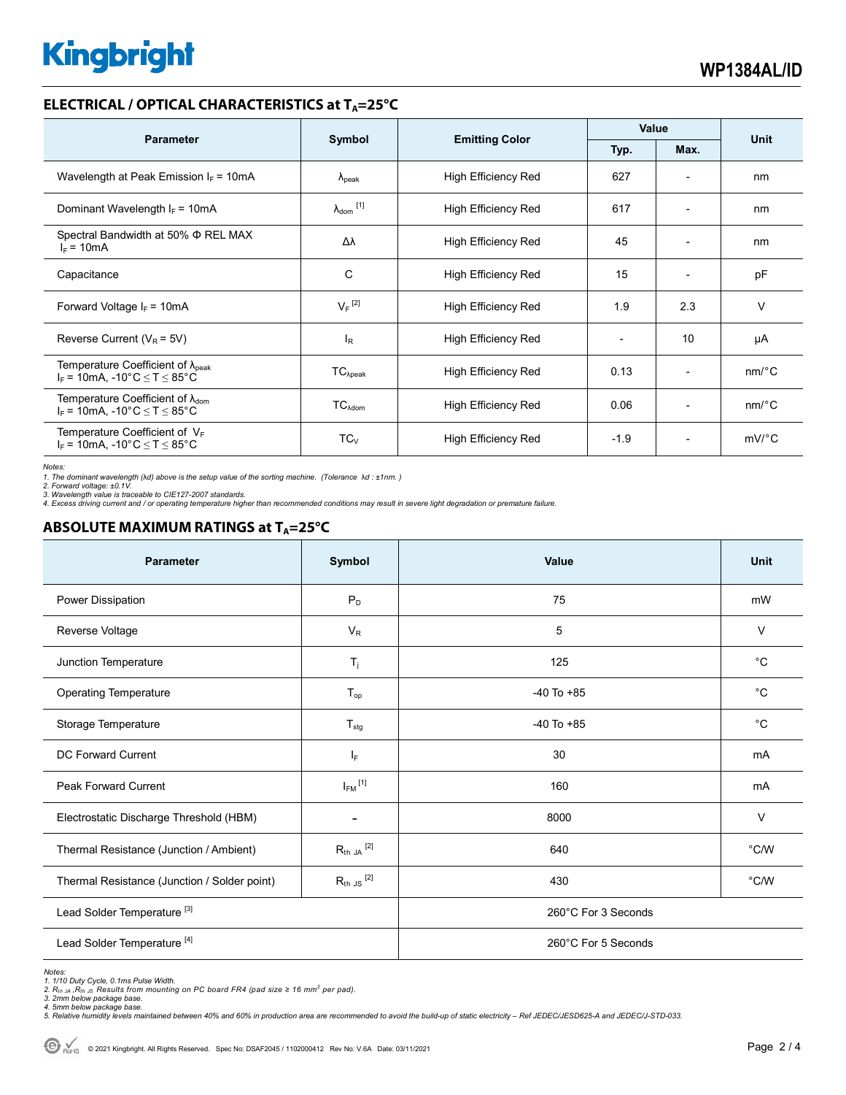# **Kingbright**

### **ELECTRICAL / OPTICAL CHARACTERISTICS at T<sub>A</sub>=25°C**

| <b>Parameter</b>                                                                              |                                         |                            | Value  |                              | <b>Unit</b>           |
|-----------------------------------------------------------------------------------------------|-----------------------------------------|----------------------------|--------|------------------------------|-----------------------|
|                                                                                               | <b>Emitting Color</b><br>Symbol<br>Typ. |                            |        | Max.                         |                       |
| Wavelength at Peak Emission $I_F = 10mA$                                                      | $\lambda_{\rm peak}$                    | <b>High Efficiency Red</b> | 627    | $\qquad \qquad \blacksquare$ | nm                    |
| Dominant Wavelength $I_F = 10mA$                                                              | $\lambda_{\text{dom}}$ [1]              | <b>High Efficiency Red</b> | 617    | $\overline{\phantom{a}}$     | nm                    |
| Spectral Bandwidth at 50% $\Phi$ REL MAX<br>$I_F = 10mA$                                      | Δλ                                      | <b>High Efficiency Red</b> | 45     | $\overline{\phantom{a}}$     | nm                    |
| Capacitance                                                                                   | С                                       | <b>High Efficiency Red</b> | 15     | $\overline{\phantom{0}}$     | pF                    |
| Forward Voltage $I_F$ = 10mA                                                                  | $V_F$ <sup>[2]</sup>                    | <b>High Efficiency Red</b> | 1.9    | 2.3                          | V                     |
| Reverse Current ( $V_R$ = 5V)                                                                 | l <sub>R</sub>                          | <b>High Efficiency Red</b> |        | 10                           | μA                    |
| Temperature Coefficient of $\lambda_{\text{peak}}$<br>$I_F$ = 10mA, -10°C $\leq T \leq 85$ °C | $TC_{\lambda peak}$                     | <b>High Efficiency Red</b> | 0.13   | $\overline{\phantom{0}}$     | $nm$ <sup>o</sup> $C$ |
| Temperature Coefficient of $\lambda_{\text{dom}}$<br>$I_F$ = 10mA, -10°C $\leq T \leq 85$ °C  | $TC_{\lambda dom}$                      | <b>High Efficiency Red</b> | 0.06   | $\qquad \qquad \blacksquare$ | $nm$ <sup>o</sup> $C$ |
| Temperature Coefficient of $V_F$<br>$I_F$ = 10mA, -10°C $\leq T \leq 85$ °C                   | $TC_{V}$                                | High Efficiency Red        | $-1.9$ | $\overline{a}$               | $mV$ °C               |

*Notes:* 

*1. The dominant wavelength (*λ*d) above is the setup value of the sorting machine. (Tolerance* λ*d : ±1nm. ) 2. Forward voltage: ±0.1V.* 

3. Wavelength value is traceable to CIE127-2007 standards.<br>4. Excess driving current and / or operating temperature higher than recommended conditions may result in severe light degradation or premature failure.

### **ABSOLUTE MAXIMUM RATINGS at T<sub>A</sub>=25°C**

| <b>Parameter</b>                             | Symbol                  | Value               | <b>Unit</b>    |  |
|----------------------------------------------|-------------------------|---------------------|----------------|--|
| Power Dissipation                            | $P_D$                   | 75                  | mW             |  |
| Reverse Voltage                              | $V_{R}$                 | 5                   | $\vee$         |  |
| Junction Temperature                         | $T_{\rm i}$             | 125                 | $^{\circ}C$    |  |
| <b>Operating Temperature</b>                 | $T_{op}$                | $-40$ To $+85$      | $^{\circ}C$    |  |
| Storage Temperature                          | $T_{\text{stg}}$        | $-40$ To $+85$      | $^{\circ}C$    |  |
| <b>DC Forward Current</b>                    | $I_{\mathsf{F}}$        | 30                  | mA             |  |
| Peak Forward Current                         | $I_{FM}$ <sup>[1]</sup> | 160                 | mA             |  |
| Electrostatic Discharge Threshold (HBM)      | ۰                       | 8000                | $\vee$         |  |
| Thermal Resistance (Junction / Ambient)      | $R_{th}$ JA $^{[2]}$    | 640                 | $\degree$ C/W  |  |
| Thermal Resistance (Junction / Solder point) | $R_{th}$ JS $^{[2]}$    | 430                 | $^{\circ}$ C/W |  |
| Lead Solder Temperature <sup>[3]</sup>       |                         | 260°C For 3 Seconds |                |  |
| Lead Solder Temperature <sup>[4]</sup>       |                         | 260°C For 5 Seconds |                |  |

Notes:<br>1. 1/10 Duty Cycle, 0.1ms Pulse Width.<br>2. R<sub>th JA</sub> ,R<sub>th JS</sub> Results from mounting on PC board FR4 (pad size ≥ 16 mm<sup>2</sup> per pad).<br>3. 2mm below package base.<br>5. Relative humidity levels maintained between 40% and 60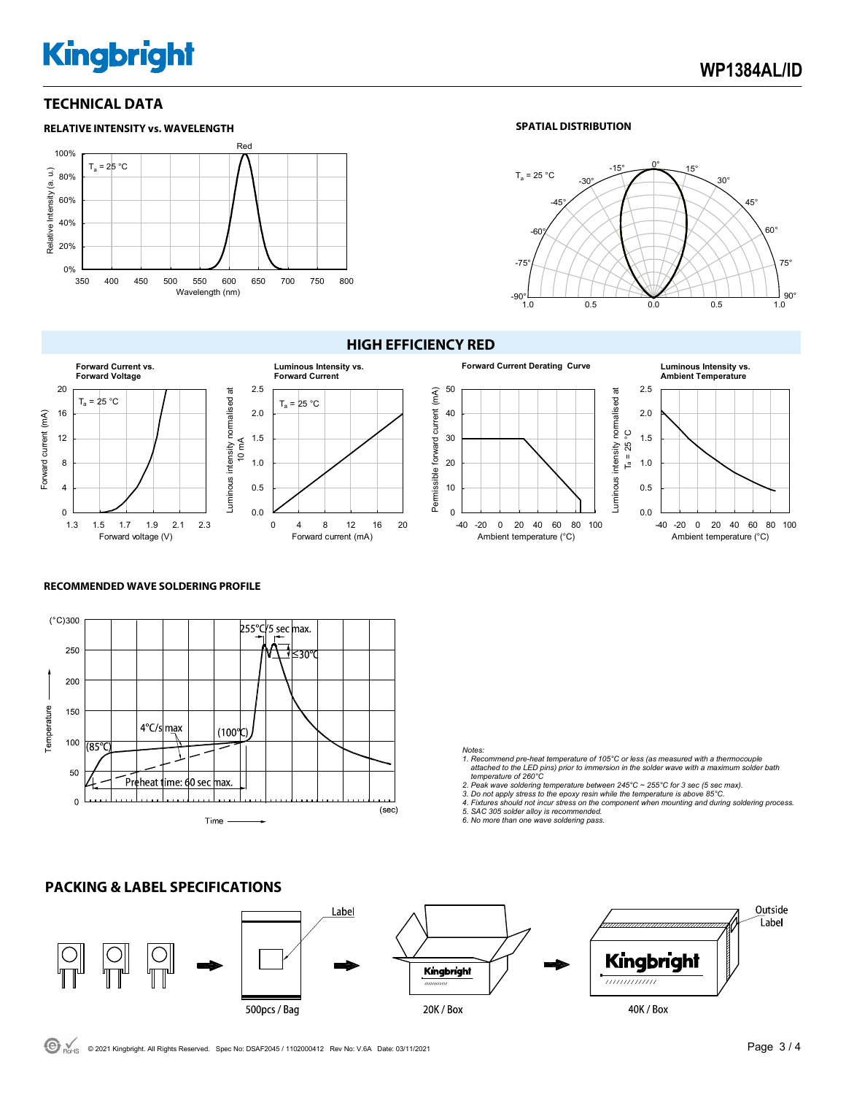# **Kingbright**

### **TECHNICAL DATA**





**HIGH EFFICIENCY RED**











## **RECOMMENDED WAVE SOLDERING PROFILE**



### *Notes:*

*1. Recommend pre-heat temperature of 105°C or less (as measured with a thermocouple attached to the LED pins) prior to immersion in the solder wave with a maximum solder bath* 

 *temperature of 260°C 2. Peak wave soldering temperature between 245°C ~ 255°C for 3 sec (5 sec max).* 

3. Do not apply stress to the epoxy resin while the temperature is above 85°C.<br>4. Fixtures should not incur stress on the component when mounting and during soldering process.<br>5. SAC 305 solder alloy is recommended.

*6. No more than one wave soldering pass.*



### **PACKING & LABEL SPECIFICATIONS**